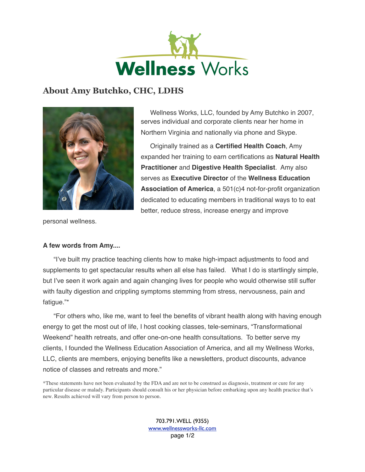

## **About Amy Butchko, CHC, LDHS**



Wellness Works, LLC, founded by Amy Butchko in 2007, serves individual and corporate clients near her home in Northern Virginia and nationally via phone and Skype.

Originally trained as a **Certified Health Coach**, Amy expanded her training to earn certifications as **Natural Health Practitioner** and **Digestive Health Specialist**. Amy also serves as **Executive Director** of the **Wellness Education Association of America**, a 501(c)4 not-for-profit organization dedicated to educating members in traditional ways to to eat better, reduce stress, increase energy and improve

personal wellness.

## **A few words from Amy....**

"I've built my practice teaching clients how to make high-impact adjustments to food and supplements to get spectacular results when all else has failed. What I do is startlingly simple, but I've seen it work again and again changing lives for people who would otherwise still suffer with faulty digestion and crippling symptoms stemming from stress, nervousness, pain and fatigue."\*

"For others who, like me, want to feel the benefits of vibrant health along with having enough energy to get the most out of life, I host cooking classes, tele-seminars, "Transformational Weekend" health retreats, and offer one-on-one health consultations. To better serve my clients, I founded the Wellness Education Association of America, and all my Wellness Works, LLC, clients are members, enjoying benefits like a newsletters, product discounts, advance notice of classes and retreats and more."

\*These statements have not been evaluated by the FDA and are not to be construed as diagnosis, treatment or cure for any particular disease or malady. Participants should consult his or her physician before embarking upon any health practice that's new. Results achieved will vary from person to person.

> 703.791.WELL (9355) [www.wellnessworks-llc.com](http://www.wellnessworks-llc.com) page 1/2